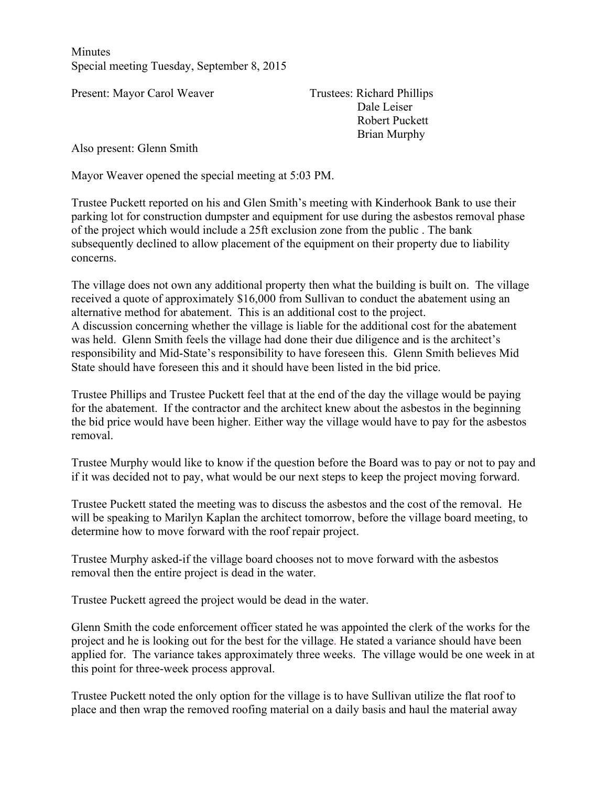**Minutes** Special meeting Tuesday, September 8, 2015

Present: Mayor Carol Weaver Trustees: Richard Phillips

Dale Leiser Robert Puckett Brian Murphy

Also present: Glenn Smith

Mayor Weaver opened the special meeting at 5:03 PM.

Trustee Puckett reported on his and Glen Smith's meeting with Kinderhook Bank to use their parking lot for construction dumpster and equipment for use during the asbestos removal phase of the project which would include a 25ft exclusion zone from the public . The bank subsequently declined to allow placement of the equipment on their property due to liability concerns.

The village does not own any additional property then what the building is built on. The village received a quote of approximately \$16,000 from Sullivan to conduct the abatement using an alternative method for abatement. This is an additional cost to the project. A discussion concerning whether the village is liable for the additional cost for the abatement was held. Glenn Smith feels the village had done their due diligence and is the architect's responsibility and Mid-State's responsibility to have foreseen this. Glenn Smith believes Mid State should have foreseen this and it should have been listed in the bid price.

Trustee Phillips and Trustee Puckett feel that at the end of the day the village would be paying for the abatement. If the contractor and the architect knew about the asbestos in the beginning the bid price would have been higher. Either way the village would have to pay for the asbestos removal.

Trustee Murphy would like to know if the question before the Board was to pay or not to pay and if it was decided not to pay, what would be our next steps to keep the project moving forward.

Trustee Puckett stated the meeting was to discuss the asbestos and the cost of the removal. He will be speaking to Marilyn Kaplan the architect tomorrow, before the village board meeting, to determine how to move forward with the roof repair project.

Trustee Murphy asked-if the village board chooses not to move forward with the asbestos removal then the entire project is dead in the water.

Trustee Puckett agreed the project would be dead in the water.

Glenn Smith the code enforcement officer stated he was appointed the clerk of the works for the project and he is looking out for the best for the village. He stated a variance should have been applied for. The variance takes approximately three weeks. The village would be one week in at this point for three-week process approval.

Trustee Puckett noted the only option for the village is to have Sullivan utilize the flat roof to place and then wrap the removed roofing material on a daily basis and haul the material away